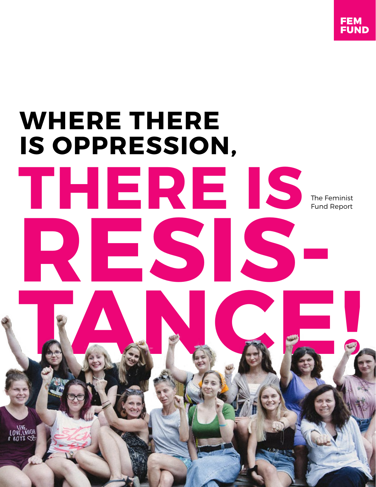

# **WHERE THERE IS OPPRESSION, THERE IS RESIS-TANCE & PLACE** The Feminist Fund Report

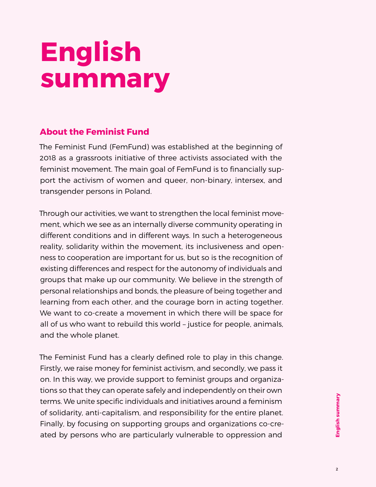# **English summary**

# **About the Feminist Fund**

The Feminist Fund (FemFund) was established at the beginning of 2018 as a grassroots initiative of three activists associated with the feminist movement. The main goal of FemFund is to financially support the activism of women and queer, non-binary, intersex, and transgender persons in Poland.

Through our activities, we want to strengthen the local feminist movement, which we see as an internally diverse community operating in different conditions and in different ways. In such a heterogeneous reality, solidarity within the movement, its inclusiveness and openness to cooperation are important for us, but so is the recognition of existing differences and respect for the autonomy of individuals and groups that make up our community. We believe in the strength of personal relationships and bonds, the pleasure of being together and learning from each other, and the courage born in acting together. We want to co-create a movement in which there will be space for all of us who want to rebuild this world – justice for people, animals, and the whole planet.

The Feminist Fund has a clearly defined role to play in this change. Firstly, we raise money for feminist activism, and secondly, we pass it on. In this way, we provide support to feminist groups and organizations so that they can operate safely and independently on their own terms. We unite specific individuals and initiatives around a feminism of solidarity, anti-capitalism, and responsibility for the entire planet. Finally, by focusing on supporting groups and organizations co-created by persons who are particularly vulnerable to oppression and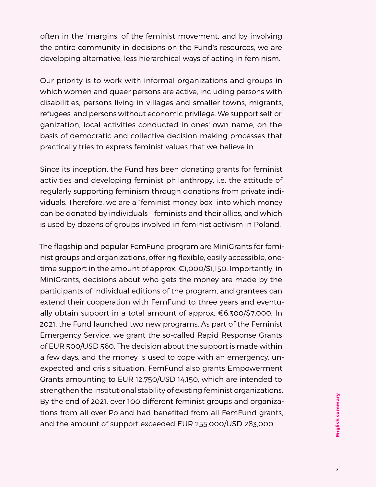often in the 'margins' of the feminist movement, and by involving the entire community in decisions on the Fund's resources, we are developing alternative, less hierarchical ways of acting in feminism.

Our priority is to work with informal organizations and groups in which women and queer persons are active, including persons with disabilities, persons living in villages and smaller towns, migrants, refugees, and persons without economic privilege. We support self-organization, local activities conducted in ones' own name, on the basis of democratic and collective decision-making processes that practically tries to express feminist values that we believe in.

Since its inception, the Fund has been donating grants for feminist activities and developing feminist philanthropy, i.e. the attitude of regularly supporting feminism through donations from private individuals. Therefore, we are a "feminist money box" into which money can be donated by individuals – feminists and their allies, and which is used by dozens of groups involved in feminist activism in Poland.

The flagship and popular FemFund program are MiniGrants for feminist groups and organizations, offering flexible, easily accessible, onetime support in the amount of approx. €1,000/\$1,150. Importantly, in MiniGrants, decisions about who gets the money are made by the participants of individual editions of the program, and grantees can extend their cooperation with FemFund to three years and eventually obtain support in a total amount of approx. €6,300/\$7,000. In 2021, the Fund launched two new programs. As part of the Feminist Emergency Service, we grant the so-called Rapid Response Grants of EUR 500/USD 560. The decision about the support is made within a few days, and the money is used to cope with an emergency, unexpected and crisis situation. FemFund also grants Empowerment Grants amounting to EUR 12,750/USD 14,150, which are intended to strengthen the institutional stability of existing feminist organizations. By the end of 2021, over 100 different feminist groups and organizations from all over Poland had benefited from all FemFund grants, and the amount of support exceeded EUR 255,000/USD 283,000.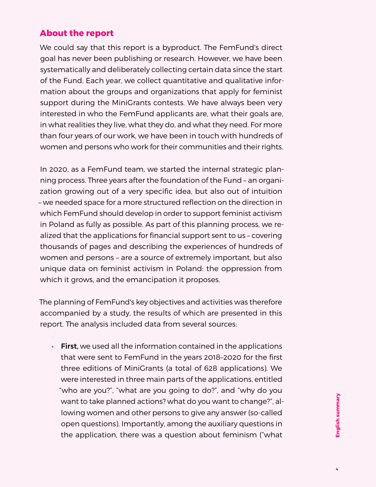# **About the report**

We could say that this report is a byproduct. The FemFund's direct goal has never been publishing or research. However, we have been systematically and deliberately collecting certain data since the start of the Fund. Each year, we collect quantitative and qualitative information about the groups and organizations that apply for feminist support during the MiniGrants contests. We have always been very interested in who the FemFund applicants are, what their goals are, in what realities they live, what they do, and what they need. For more than four years of our work, we have been in touch with hundreds of women and persons who work for their communities and their rights.

In 2020, as a FemFund team, we started the internal strategic planning process. Three years after the foundation of the Fund – an organization growing out of a very specific idea, but also out of intuition – we needed space for a more structured reflection on the direction in which FemFund should develop in order to support feminist activism in Poland as fully as possible. As part of this planning process, we realized that the applications for financial support sent to us – covering thousands of pages and describing the experiences of hundreds of women and persons – are a source of extremely important, but also unique data on feminist activism in Poland: the oppression from which it grows, and the emancipation it proposes.

The planning of FemFund's key objectives and activities was therefore accompanied by a study, the results of which are presented in this report. The analysis included data from several sources:

• First, we used all the information contained in the applications that were sent to FemFund in the years 2018–2020 for the first three editions of MiniGrants (a total of 628 applications). We were interested in three main parts of the applications, entitled "who are you?", "what are you going to do?", and "why do you want to take planned actions? what do you want to change?", allowing women and other persons to give any answer (so-called open questions). Importantly, among the auxiliary questions in the application, there was a question about feminism ("what

4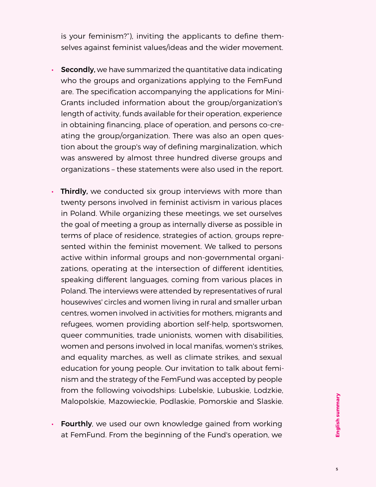is your feminism?"), inviting the applicants to define themselves against feminist values/ideas and the wider movement.

- Secondly, we have summarized the quantitative data indicating who the groups and organizations applying to the FemFund are. The specification accompanying the applications for Mini-Grants included information about the group/organization's length of activity, funds available for their operation, experience in obtaining financing, place of operation, and persons co-creating the group/organization. There was also an open question about the group's way of defining marginalization, which was answered by almost three hundred diverse groups and organizations – these statements were also used in the report.
- Thirdly, we conducted six group interviews with more than twenty persons involved in feminist activism in various places in Poland. While organizing these meetings, we set ourselves the goal of meeting a group as internally diverse as possible in terms of place of residence, strategies of action, groups represented within the feminist movement. We talked to persons active within informal groups and non-governmental organizations, operating at the intersection of different identities, speaking different languages, coming from various places in Poland. The interviews were attended by representatives of rural housewives' circles and women living in rural and smaller urban centres, women involved in activities for mothers, migrants and refugees, women providing abortion self-help, sportswomen, queer communities, trade unionists, women with disabilities, women and persons involved in local manifas, women's strikes, and equality marches, as well as climate strikes, and sexual education for young people. Our invitation to talk about feminism and the strategy of the FemFund was accepted by people from the following voivodships: Lubelskie, Lubuskie, Lodzkie, Malopolskie, Mazowieckie, Podlaskie, Pomorskie and Slaskie.
- Fourthly, we used our own knowledge gained from working at FemFund. From the beginning of the Fund's operation, we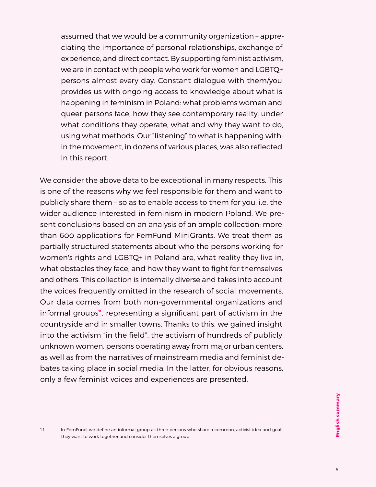assumed that we would be a community organization – appreciating the importance of personal relationships, exchange of experience, and direct contact. By supporting feminist activism, we are in contact with people who work for women and LGBTQ+ persons almost every day. Constant dialogue with them/you provides us with ongoing access to knowledge about what is happening in feminism in Poland: what problems women and queer persons face, how they see contemporary reality, under what conditions they operate, what and why they want to do, using what methods. Our "listening" to what is happening within the movement, in dozens of various places, was also reflected in this report.

We consider the above data to be exceptional in many respects. This is one of the reasons why we feel responsible for them and want to publicly share them – so as to enable access to them for you, i.e. the wider audience interested in feminism in modern Poland. We present conclusions based on an analysis of an ample collection: more than 600 applications for FemFund MiniGrants. We treat them as partially structured statements about who the persons working for women's rights and LGBTQ+ in Poland are, what reality they live in, what obstacles they face, and how they want to fight for themselves and others. This collection is internally diverse and takes into account the voices frequently omitted in the research of social movements. Our data comes from both non-governmental organizations and informal groups**<sup>11</sup>** , representing a significant part of activism in the countryside and in smaller towns. Thanks to this, we gained insight into the activism "in the field", the activism of hundreds of publicly unknown women, persons operating away from major urban centers, as well as from the narratives of mainstream media and feminist debates taking place in social media. In the latter, for obvious reasons, only a few feminist voices and experiences are presented.

11 In FemFund, we define an informal group as three persons who share a common, activist idea and goal: they want to work together and consider themselves a group.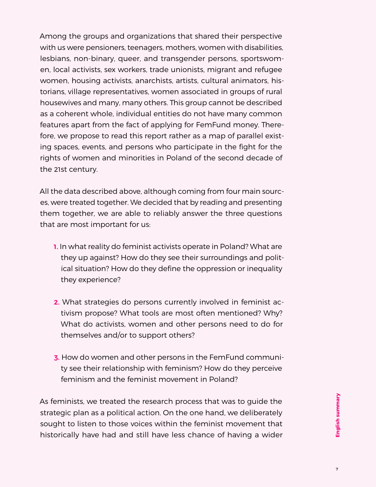Among the groups and organizations that shared their perspective with us were pensioners, teenagers, mothers, women with disabilities, lesbians, non-binary, queer, and transgender persons, sportswomen, local activists, sex workers, trade unionists, migrant and refugee women, housing activists, anarchists, artists, cultural animators, historians, village representatives, women associated in groups of rural housewives and many, many others. This group cannot be described as a coherent whole, individual entities do not have many common features apart from the fact of applying for FemFund money. Therefore, we propose to read this report rather as a map of parallel existing spaces, events, and persons who participate in the fight for the rights of women and minorities in Poland of the second decade of the 21st century.

All the data described above, although coming from four main sources, were treated together. We decided that by reading and presenting them together, we are able to reliably answer the three questions that are most important for us:

- **1.** In what reality do feminist activists operate in Poland? What are they up against? How do they see their surroundings and political situation? How do they define the oppression or inequality they experience?
- 2. What strategies do persons currently involved in feminist activism propose? What tools are most often mentioned? Why? What do activists, women and other persons need to do for themselves and/or to support others?
- 3. How do women and other persons in the FemFund community see their relationship with feminism? How do they perceive feminism and the feminist movement in Poland?

As feminists, we treated the research process that was to guide the strategic plan as a political action. On the one hand, we deliberately sought to listen to those voices within the feminist movement that historically have had and still have less chance of having a wider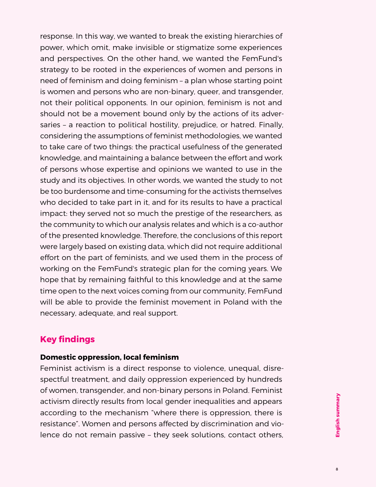response. In this way, we wanted to break the existing hierarchies of power, which omit, make invisible or stigmatize some experiences and perspectives. On the other hand, we wanted the FemFund's strategy to be rooted in the experiences of women and persons in need of feminism and doing feminism – a plan whose starting point is women and persons who are non-binary, queer, and transgender, not their political opponents. In our opinion, feminism is not and should not be a movement bound only by the actions of its adversaries – a reaction to political hostility, prejudice, or hatred. Finally, considering the assumptions of feminist methodologies, we wanted to take care of two things: the practical usefulness of the generated knowledge, and maintaining a balance between the effort and work of persons whose expertise and opinions we wanted to use in the study and its objectives. In other words, we wanted the study to not be too burdensome and time-consuming for the activists themselves who decided to take part in it, and for its results to have a practical impact: they served not so much the prestige of the researchers, as the community to which our analysis relates and which is a co-author of the presented knowledge. Therefore, the conclusions of this report were largely based on existing data, which did not require additional effort on the part of feminists, and we used them in the process of working on the FemFund's strategic plan for the coming years. We hope that by remaining faithful to this knowledge and at the same time open to the next voices coming from our community, FemFund will be able to provide the feminist movement in Poland with the necessary, adequate, and real support.

# **Key findings**

#### **Domestic oppression, local feminism**

Feminist activism is a direct response to violence, unequal, disrespectful treatment, and daily oppression experienced by hundreds of women, transgender, and non-binary persons in Poland. Feminist activism directly results from local gender inequalities and appears according to the mechanism "where there is oppression, there is resistance". Women and persons affected by discrimination and violence do not remain passive – they seek solutions, contact others,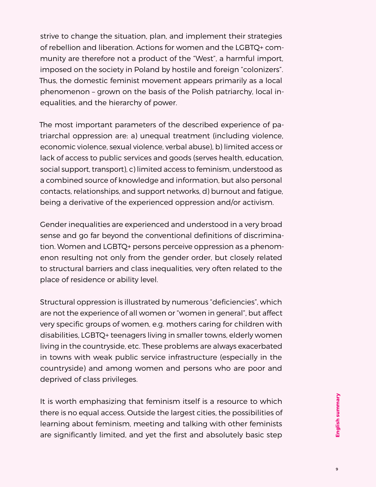strive to change the situation, plan, and implement their strategies of rebellion and liberation. Actions for women and the LGBTQ+ community are therefore not a product of the "West", a harmful import, imposed on the society in Poland by hostile and foreign "colonizers". Thus, the domestic feminist movement appears primarily as a local phenomenon – grown on the basis of the Polish patriarchy, local inequalities, and the hierarchy of power.

The most important parameters of the described experience of patriarchal oppression are: a) unequal treatment (including violence, economic violence, sexual violence, verbal abuse), b) limited access or lack of access to public services and goods (serves health, education, social support, transport), c) limited access to feminism, understood as a combined source of knowledge and information, but also personal contacts, relationships, and support networks, d) burnout and fatigue, being a derivative of the experienced oppression and/or activism.

Gender inequalities are experienced and understood in a very broad sense and go far beyond the conventional definitions of discrimination. Women and LGBTQ+ persons perceive oppression as a phenomenon resulting not only from the gender order, but closely related to structural barriers and class inequalities, very often related to the place of residence or ability level.

Structural oppression is illustrated by numerous "deficiencies", which are not the experience of all women or "women in general", but affect very specific groups of women, e.g. mothers caring for children with disabilities, LGBTQ+ teenagers living in smaller towns, elderly women living in the countryside, etc. These problems are always exacerbated in towns with weak public service infrastructure (especially in the countryside) and among women and persons who are poor and deprived of class privileges.

It is worth emphasizing that feminism itself is a resource to which there is no equal access. Outside the largest cities, the possibilities of learning about feminism, meeting and talking with other feminists are significantly limited, and yet the first and absolutely basic step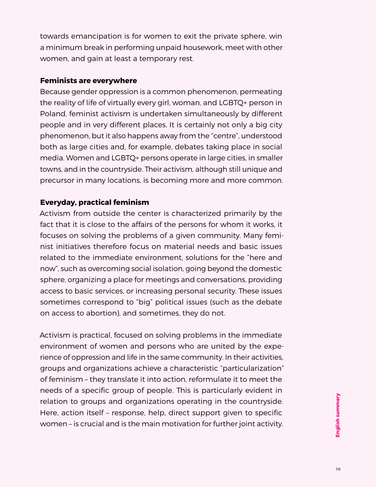towards emancipation is for women to exit the private sphere, win a minimum break in performing unpaid housework, meet with other women, and gain at least a temporary rest.

#### **Feminists are everywhere**

Because gender oppression is a common phenomenon, permeating the reality of life of virtually every girl, woman, and LGBTQ+ person in Poland, feminist activism is undertaken simultaneously by different people and in very different places. It is certainly not only a big city phenomenon, but it also happens away from the "centre", understood both as large cities and, for example, debates taking place in social media. Women and LGBTQ+ persons operate in large cities, in smaller towns, and in the countryside. Their activism, although still unique and precursor in many locations, is becoming more and more common.

### **Everyday, practical feminism**

Activism from outside the center is characterized primarily by the fact that it is close to the affairs of the persons for whom it works, it focuses on solving the problems of a given community. Many feminist initiatives therefore focus on material needs and basic issues related to the immediate environment, solutions for the "here and now", such as overcoming social isolation, going beyond the domestic sphere, organizing a place for meetings and conversations, providing access to basic services, or increasing personal security. These issues sometimes correspond to "big" political issues (such as the debate on access to abortion), and sometimes, they do not.

Activism is practical, focused on solving problems in the immediate environment of women and persons who are united by the experience of oppression and life in the same community. In their activities, groups and organizations achieve a characteristic "particularization" of feminism – they translate it into action, reformulate it to meet the needs of a specific group of people. This is particularly evident in relation to groups and organizations operating in the countryside. Here, action itself – response, help, direct support given to specific women – is crucial and is the main motivation for further joint activity.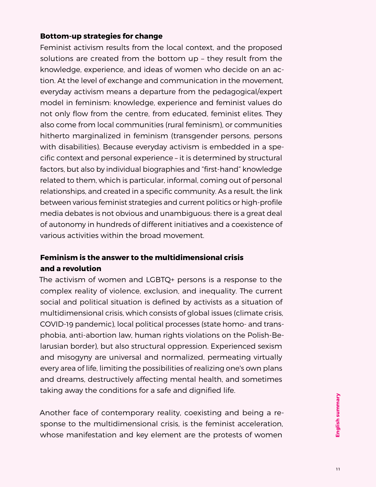#### **Bottom-up strategies for change**

Feminist activism results from the local context, and the proposed solutions are created from the bottom up – they result from the knowledge, experience, and ideas of women who decide on an action. At the level of exchange and communication in the movement, everyday activism means a departure from the pedagogical/expert model in feminism: knowledge, experience and feminist values do not only flow from the centre, from educated, feminist elites. They also come from local communities (rural feminism), or communities hitherto marginalized in feminism (transgender persons, persons with disabilities). Because everyday activism is embedded in a specific context and personal experience – it is determined by structural factors, but also by individual biographies and "first-hand" knowledge related to them, which is particular, informal, coming out of personal relationships, and created in a specific community. As a result, the link between various feminist strategies and current politics or high-profile media debates is not obvious and unambiguous: there is a great deal of autonomy in hundreds of different initiatives and a coexistence of various activities within the broad movement.

# **Feminism is the answer to the multidimensional crisis and a revolution**

The activism of women and LGBTQ+ persons is a response to the complex reality of violence, exclusion, and inequality. The current social and political situation is defined by activists as a situation of multidimensional crisis, which consists of global issues (climate crisis, COVID-19 pandemic), local political processes (state homo- and transphobia, anti-abortion law, human rights violations on the Polish-Belarusian border), but also structural oppression. Experienced sexism and misogyny are universal and normalized, permeating virtually every area of life, limiting the possibilities of realizing one's own plans and dreams, destructively affecting mental health, and sometimes taking away the conditions for a safe and dignified life.

Another face of contemporary reality, coexisting and being a response to the multidimensional crisis, is the feminist acceleration, whose manifestation and key element are the protests of women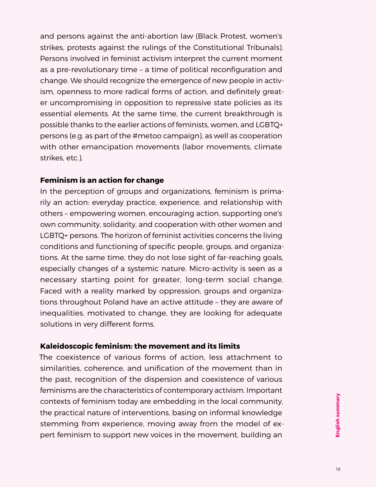and persons against the anti-abortion law (Black Protest, women's strikes, protests against the rulings of the Constitutional Tribunals). Persons involved in feminist activism interpret the current moment as a pre-revolutionary time – a time of political reconfiguration and change. We should recognize the emergence of new people in activism, openness to more radical forms of action, and definitely greater uncompromising in opposition to repressive state policies as its essential elements. At the same time, the current breakthrough is possible thanks to the earlier actions of feminists, women, and LGBTQ+ persons (e.g. as part of the #metoo campaign), as well as cooperation with other emancipation movements (labor movements, climate strikes, etc.).

#### **Feminism is an action for change**

In the perception of groups and organizations, feminism is primarily an action: everyday practice, experience, and relationship with others – empowering women, encouraging action, supporting one's own community, solidarity, and cooperation with other women and LGBTQ+ persons. The horizon of feminist activities concerns the living conditions and functioning of specific people, groups, and organizations. At the same time, they do not lose sight of far-reaching goals, especially changes of a systemic nature. Micro-activity is seen as a necessary starting point for greater, long-term social change. Faced with a reality marked by oppression, groups and organizations throughout Poland have an active attitude – they are aware of inequalities, motivated to change, they are looking for adequate solutions in very different forms.

#### **Kaleidoscopic feminism: the movement and its limits**

The coexistence of various forms of action, less attachment to similarities, coherence, and unification of the movement than in the past, recognition of the dispersion and coexistence of various feminisms are the characteristics of contemporary activism. Important contexts of feminism today are embedding in the local community, the practical nature of interventions, basing on informal knowledge stemming from experience, moving away from the model of expert feminism to support new voices in the movement, building an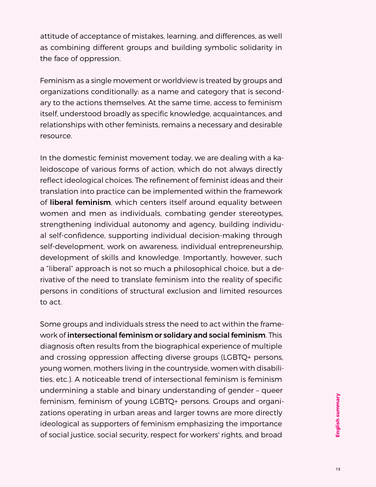attitude of acceptance of mistakes, learning, and differences, as well as combining different groups and building symbolic solidarity in the face of oppression.

Feminism as a single movement or worldview is treated by groups and organizations conditionally: as a name and category that is secondary to the actions themselves. At the same time, access to feminism itself, understood broadly as specific knowledge, acquaintances, and relationships with other feminists, remains a necessary and desirable resource.

In the domestic feminist movement today, we are dealing with a kaleidoscope of various forms of action, which do not always directly reflect ideological choices. The refinement of feminist ideas and their translation into practice can be implemented within the framework of liberal feminism, which centers itself around equality between women and men as individuals, combating gender stereotypes, strengthening individual autonomy and agency, building individual self-confidence, supporting individual decision-making through self-development, work on awareness, individual entrepreneurship, development of skills and knowledge. Importantly, however, such a "liberal" approach is not so much a philosophical choice, but a derivative of the need to translate feminism into the reality of specific persons in conditions of structural exclusion and limited resources to act.

Some groups and individuals stress the need to act within the framework of intersectional feminism or solidary and social feminism. This diagnosis often results from the biographical experience of multiple and crossing oppression affecting diverse groups (LGBTQ+ persons, young women, mothers living in the countryside, women with disabilities, etc.). A noticeable trend of intersectional feminism is feminism undermining a stable and binary understanding of gender – queer feminism, feminism of young LGBTQ+ persons. Groups and organizations operating in urban areas and larger towns are more directly ideological as supporters of feminism emphasizing the importance of social justice, social security, respect for workers' rights, and broad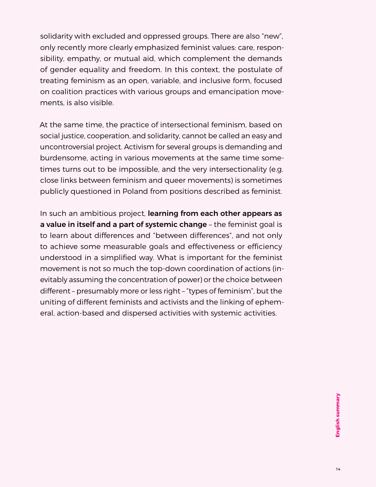solidarity with excluded and oppressed groups. There are also "new", only recently more clearly emphasized feminist values: care, responsibility, empathy, or mutual aid, which complement the demands of gender equality and freedom. In this context, the postulate of treating feminism as an open, variable, and inclusive form, focused on coalition practices with various groups and emancipation movements, is also visible.

At the same time, the practice of intersectional feminism, based on social justice, cooperation, and solidarity, cannot be called an easy and uncontroversial project. Activism for several groups is demanding and burdensome, acting in various movements at the same time sometimes turns out to be impossible, and the very intersectionality (e.g. close links between feminism and queer movements) is sometimes publicly questioned in Poland from positions described as feminist.

In such an ambitious project, learning from each other appears as a value in itself and a part of systemic change - the feminist goal is to learn about differences and "between differences", and not only to achieve some measurable goals and effectiveness or efficiency understood in a simplified way. What is important for the feminist movement is not so much the top-down coordination of actions (inevitably assuming the concentration of power) or the choice between different – presumably more or less right – "types of feminism", but the uniting of different feminists and activists and the linking of ephemeral, action-based and dispersed activities with systemic activities.